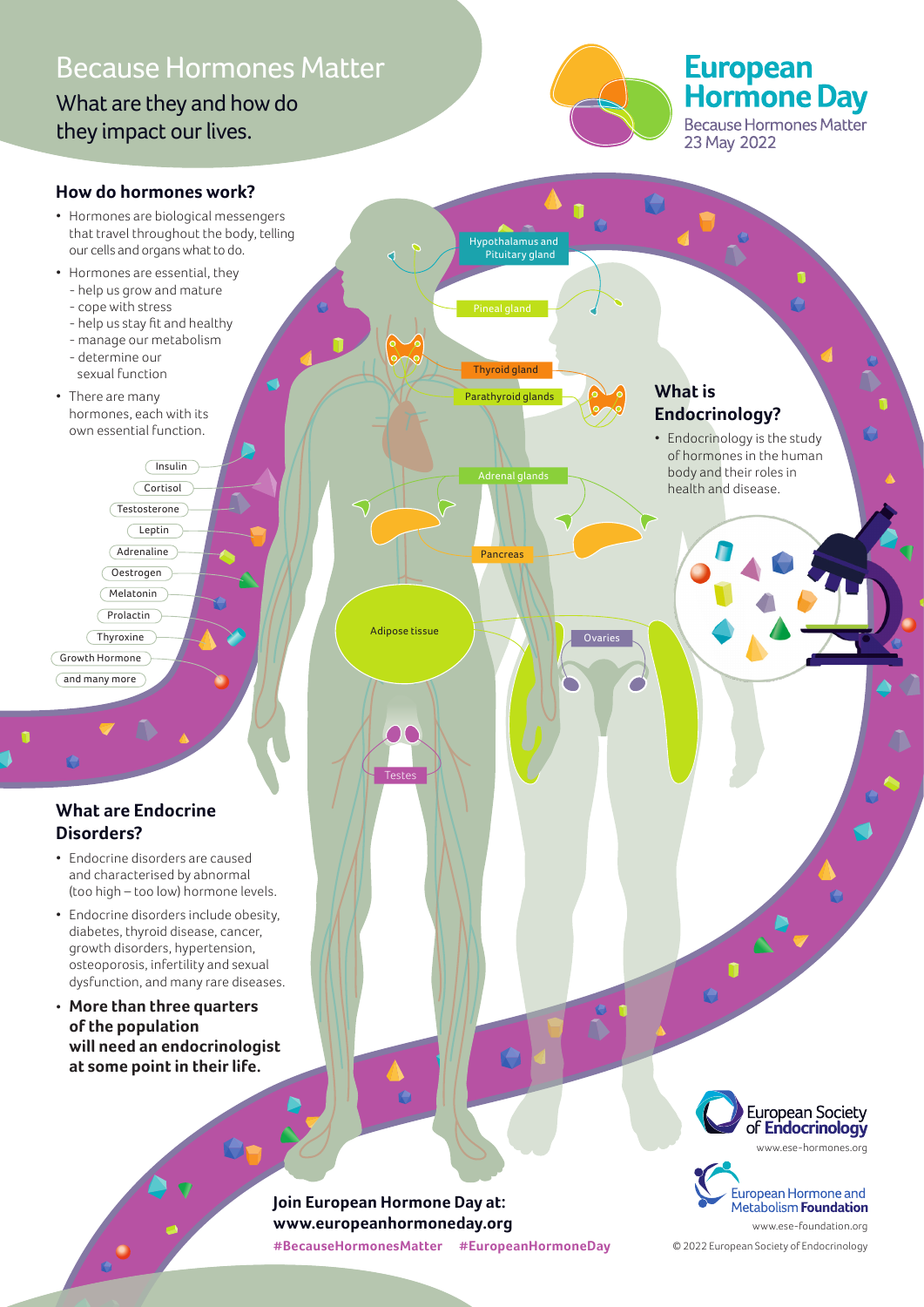### Because Hormones Matter

What are they and how do they impact our lives.



# European<br>Hormone Day

Because Hormones Matter 23 May 2022



**#BecauseHormonesMatter #EuropeanHormoneDay**

© 2022 European Society of Endocrinology